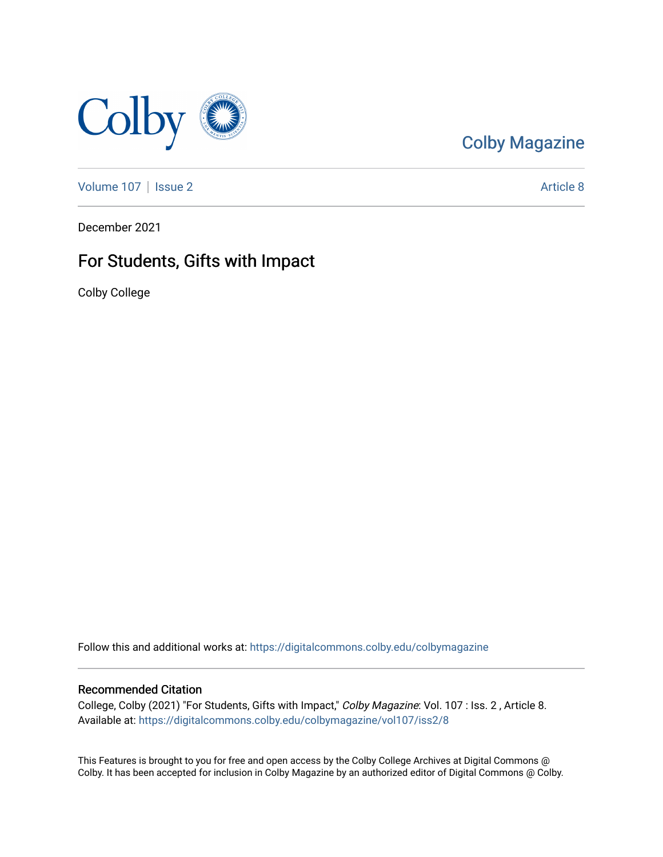

## [Colby Magazine](https://digitalcommons.colby.edu/colbymagazine)

[Volume 107](https://digitalcommons.colby.edu/colbymagazine/vol107) | [Issue 2](https://digitalcommons.colby.edu/colbymagazine/vol107/iss2) Article 8

December 2021

### For Students, Gifts with Impact

Colby College

Follow this and additional works at: [https://digitalcommons.colby.edu/colbymagazine](https://digitalcommons.colby.edu/colbymagazine?utm_source=digitalcommons.colby.edu%2Fcolbymagazine%2Fvol107%2Fiss2%2F8&utm_medium=PDF&utm_campaign=PDFCoverPages)

#### Recommended Citation

College, Colby (2021) "For Students, Gifts with Impact," Colby Magazine: Vol. 107 : Iss. 2 , Article 8. Available at: [https://digitalcommons.colby.edu/colbymagazine/vol107/iss2/8](https://digitalcommons.colby.edu/colbymagazine/vol107/iss2/8?utm_source=digitalcommons.colby.edu%2Fcolbymagazine%2Fvol107%2Fiss2%2F8&utm_medium=PDF&utm_campaign=PDFCoverPages) 

This Features is brought to you for free and open access by the Colby College Archives at Digital Commons @ Colby. It has been accepted for inclusion in Colby Magazine by an authorized editor of Digital Commons @ Colby.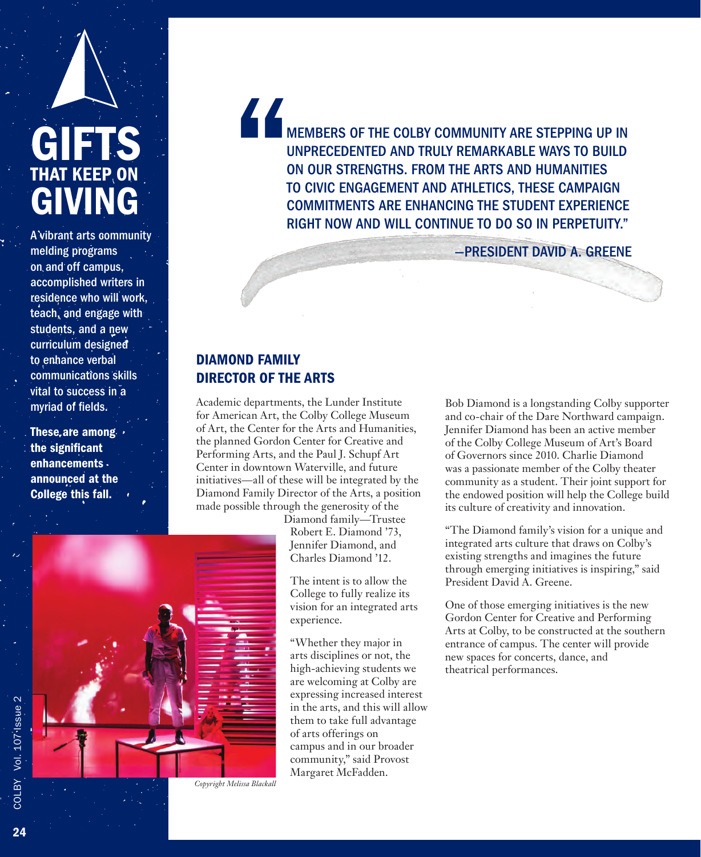# GIFTS **THAT KEEP, ON** GIVING

A vibrant arts community melding programs on and off campus, accomplished writers in residence who will work, teach, and engage with students, and a new curriculum designed to enhance verbal communications skills vital to success in a myriad of fields.

These, are among. the significant enhancements announced at the College this fall.

" MEMBERS OF THE COLBY COMMUNITY ARE STEPPING UP IN UNPRECEDENTED AND TRULY REMARKABLE WAYS TO BUILD ON OUR STRENGTHS. FROM THE ARTS AND HUMANITIES TO CIVIC ENGAGEMENT AND ATHLETICS, THESE CAMPAIGN COMMITMENTS ARE ENHANCING THE STUDENT EXPERIENCE RIGHT NOW AND WILL CONTINUE TO DO SO IN PERPETUITY."

—PRESIDENT DAVID A. GREENE

#### DIAMOND FAMILY DIRECTOR OF THE ARTS

Academic departments, the Lunder Institute for American Art, the Colby College Museum of Art, the Center for the Arts and Humanities, the planned Gordon Center for Creative and Performing Arts, and the Paul J. Schupf Art Center in downtown Waterville, and future initiatives—all of these will be integrated by the Diamond Family Director of the Arts, a position made possible through the generosity of the

Diamond family—Trustee Robert E. Diamond '73, Jennifer Diamond, and Charles Diamond '12.

The intent is to allow the College to fully realize its vision for an integrated arts experience.

"Whether they major in arts disciplines or not, the high-achieving students we are welcoming at Colby are expressing increased interest in the arts, and this will allow them to take full advantage of arts offerings on campus and in our broader community," said Provost Margaret McFadden.

Bob Diamond is a longstanding Colby supporter and co-chair of the Dare Northward campaign. Jennifer Diamond has been an active member of the Colby College Museum of Art's Board of Governors since 2010. Charlie Diamond was a passionate member of the Colby theater community as a student. Their joint support for the endowed position will help the College build its culture of creativity and innovation.

"The Diamond family's vision for a unique and integrated arts culture that draws on Colby's existing strengths and imagines the future through emerging initiatives is inspiring," said President David A. Greene.

One of those emerging initiatives is the new Gordon Center for Creative and Performing Arts at Colby, to be constructed at the southern entrance of campus. The center will provide new spaces for concerts, dance, and theatrical performances.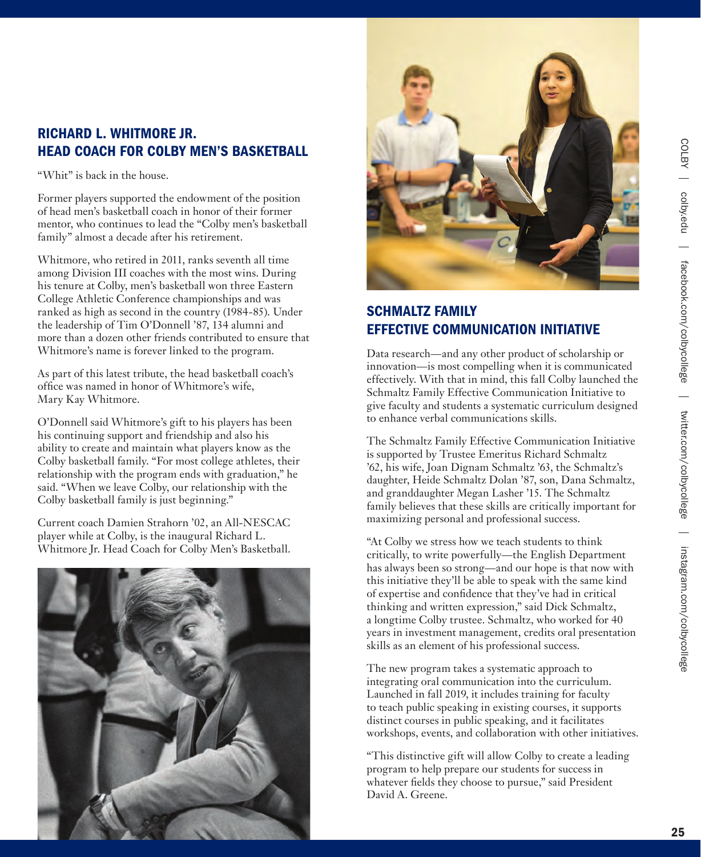#### RICHARD L. WHITMORE JR. HEAD COACH FOR COLBY MEN'S BASKETBALL

"Whit" is back in the house.

Former players supported the endowment of the position of head men's basketball coach in honor of their former mentor, who continues to lead the "Colby men's basketball family" almost a decade after his retirement.

Whitmore, who retired in 2011, ranks seventh all time among Division III coaches with the most wins. During his tenure at Colby, men's basketball won three Eastern College Athletic Conference championships and was ranked as high as second in the country (1984-85). Under the leadership of Tim O'Donnell '87, 134 alumni and more than a dozen other friends contributed to ensure that Whitmore's name is forever linked to the program.

As part of this latest tribute, the head basketball coach's office was named in honor of Whitmore's wife, Mary Kay Whitmore.

O'Donnell said Whitmore's gift to his players has been his continuing support and friendship and also his ability to create and maintain what players know as the Colby basketball family. "For most college athletes, their relationship with the program ends with graduation," he said. "When we leave Colby, our relationship with the Colby basketball family is just beginning."

Current coach Damien Strahorn '02, an All-NESCAC player while at Colby, is the inaugural Richard L. Whitmore Jr. Head Coach for Colby Men's Basketball.





#### SCHMALTZ FAMILY EFFECTIVE COMMUNICATION INITIATIVE

Data research—and any other product of scholarship or innovation—is most compelling when it is communicated effectively. With that in mind, this fall Colby launched the Schmaltz Family Effective Communication Initiative to give faculty and students a systematic curriculum designed to enhance verbal communications skills.

The Schmaltz Family Effective Communication Initiative is supported by Trustee Emeritus Richard Schmaltz '62, his wife, Joan Dignam Schmaltz '63, the Schmaltz's daughter, Heide Schmaltz Dolan '87, son, Dana Schmaltz, and granddaughter Megan Lasher '15. The Schmaltz family believes that these skills are critically important for maximizing personal and professional success.

"At Colby we stress how we teach students to think critically, to write powerfully—the English Department has always been so strong—and our hope is that now with this initiative they'll be able to speak with the same kind of expertise and confidence that they've had in critical thinking and written expression," said Dick Schmaltz, a longtime Colby trustee. Schmaltz, who worked for 40 years in investment management, credits oral presentation skills as an element of his professional success.

The new program takes a systematic approach to integrating oral communication into the curriculum. Launched in fall 2019, it includes training for faculty to teach public speaking in existing courses, it supports distinct courses in public speaking, and it facilitates workshops, events, and collaboration with other initiatives.

"This distinctive gift will allow Colby to create a leading program to help prepare our students for success in whatever fields they choose to pursue," said President David A. Greene.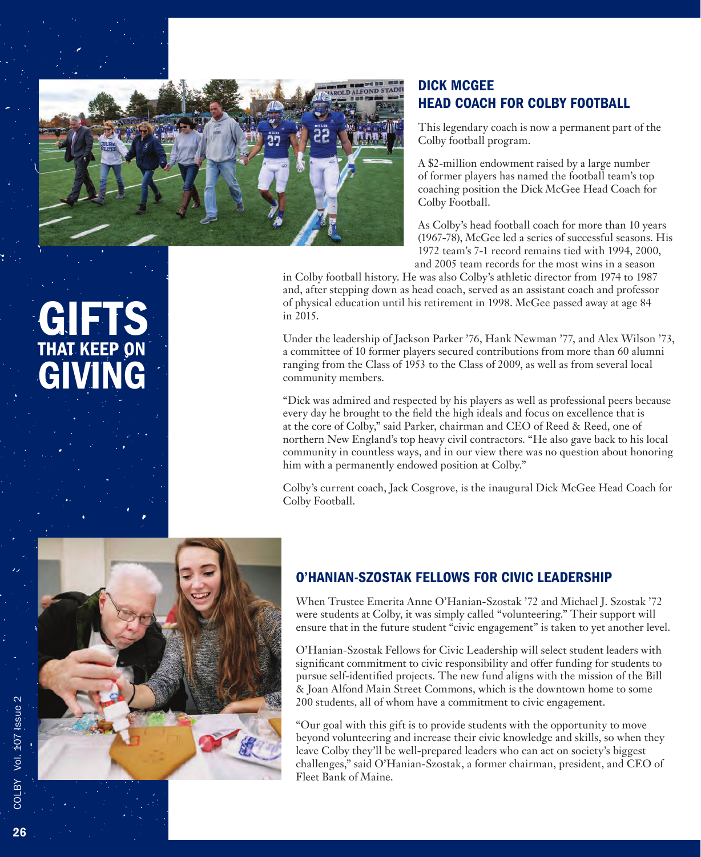![](_page_3_Picture_0.jpeg)

#### DICK MCGEE HEAD COACH FOR COLBY FOOTBALL

This legendary coach is now a permanent part of the Colby football program.

A \$2-million endowment raised by a large number of former players has named the football team's top coaching position the Dick McGee Head Coach for Colby Football.

As Colby's head football coach for more than 10 years (1967-78), McGee led a series of successful seasons. His 1972 team's 7-1 record remains tied with 1994, 2000, and 2005 team records for the most wins in a season

in Colby football history. He was also Colby's athletic director from 1974 to 1987 and, after stepping down as head coach, served as an assistant coach and professor of physical education until his retirement in 1998. McGee passed away at age 84 in 2015.

Under the leadership of Jackson Parker '76, Hank Newman '77, and Alex Wilson '73, a committee of 10 former players secured contributions from more than 60 alumni ranging from the Class of 1953 to the Class of 2009, as well as from several local community members.

"Dick was admired and respected by his players as well as professional peers because every day he brought to the field the high ideals and focus on excellence that is at the core of Colby," said Parker, chairman and CEO of Reed & Reed, one of northern New England's top heavy civil contractors. "He also gave back to his local community in countless ways, and in our view there was no question about honoring him with a permanently endowed position at Colby."

Colby's current coach, Jack Cosgrove, is the inaugural Dick McGee Head Coach for Colby Football.

![](_page_3_Picture_9.jpeg)

# GIFT THAT KEEP ON GIVING

#### O'HANIAN-SZOSTAK FELLOWS FOR CIVIC LEADERSHIP

When Trustee Emerita Anne O'Hanian-Szostak '72 and Michael J. Szostak '72 were students at Colby, it was simply called "volunteering." Their support will ensure that in the future student "civic engagement" is taken to yet another level.

O'Hanian-Szostak Fellows for Civic Leadership will select student leaders with significant commitment to civic responsibility and offer funding for students to pursue self-identified projects. The new fund aligns with the mission of the Bill & Joan Alfond Main Street Commons, which is the downtown home to some 200 students, all of whom have a commitment to civic engagement.

"Our goal with this gift is to provide students with the opportunity to move beyond volunteering and increase their civic knowledge and skills, so when they leave Colby they'll be well-prepared leaders who can act on society's biggest challenges," said O'Hanian-Szostak, a former chairman, president, and CEO of Fleet Bank of Maine.